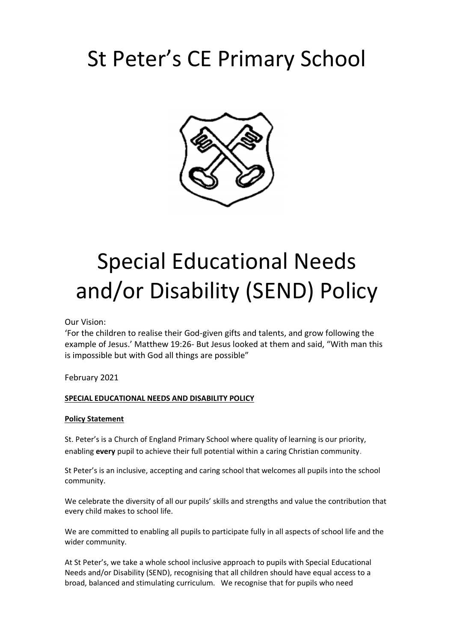# St Peter's CE Primary School



# Special Educational Needs and/or Disability (SEND) Policy

Our Vision:

'For the children to realise their God-given gifts and talents, and grow following the example of Jesus.' Matthew 19:26- But Jesus looked at them and said, "With man this is impossible but with God all things are possible"

February 2021

#### **SPECIAL EDUCATIONAL NEEDS AND DISABILITY POLICY**

#### **Policy Statement**

St. Peter's is a Church of England Primary School where quality of learning is our priority, enabling **every** pupil to achieve their full potential within a caring Christian community.

St Peter's is an inclusive, accepting and caring school that welcomes all pupils into the school community.

We celebrate the diversity of all our pupils' skills and strengths and value the contribution that every child makes to school life.

We are committed to enabling all pupils to participate fully in all aspects of school life and the wider community.

At St Peter's, we take a whole school inclusive approach to pupils with Special Educational Needs and/or Disability (SEND), recognising that all children should have equal access to a broad, balanced and stimulating curriculum. We recognise that for pupils who need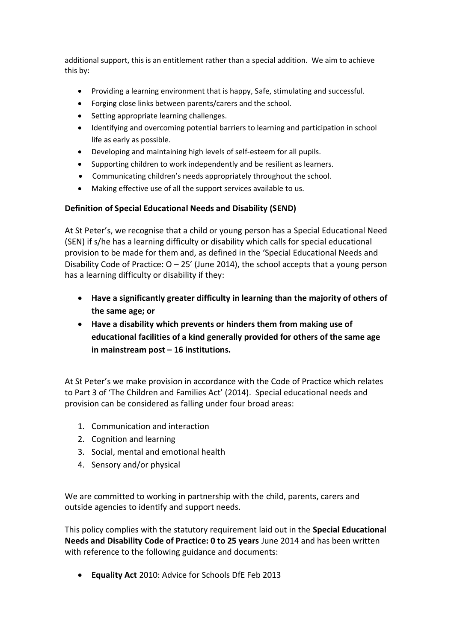additional support, this is an entitlement rather than a special addition. We aim to achieve this by:

- Providing a learning environment that is happy, Safe, stimulating and successful.
- Forging close links between parents/carers and the school.
- Setting appropriate learning challenges.
- Identifying and overcoming potential barriers to learning and participation in school life as early as possible.
- Developing and maintaining high levels of self-esteem for all pupils.
- Supporting children to work independently and be resilient as learners.
- Communicating children's needs appropriately throughout the school.
- Making effective use of all the support services available to us.

#### **Definition of Special Educational Needs and Disability (SEND)**

At St Peter's, we recognise that a child or young person has a Special Educational Need (SEN) if s/he has a learning difficulty or disability which calls for special educational provision to be made for them and, as defined in the 'Special Educational Needs and Disability Code of Practice:  $O - 25'$  (June 2014), the school accepts that a young person has a learning difficulty or disability if they:

- **Have a significantly greater difficulty in learning than the majority of others of the same age; or**
- **Have a disability which prevents or hinders them from making use of educational facilities of a kind generally provided for others of the same age in mainstream post – 16 institutions.**

At St Peter's we make provision in accordance with the Code of Practice which relates to Part 3 of 'The Children and Families Act' (2014). Special educational needs and provision can be considered as falling under four broad areas:

- 1. Communication and interaction
- 2. Cognition and learning
- 3. Social, mental and emotional health
- 4. Sensory and/or physical

We are committed to working in partnership with the child, parents, carers and outside agencies to identify and support needs.

This policy complies with the statutory requirement laid out in the **Special Educational Needs and Disability Code of Practice: 0 to 25 years** June 2014 and has been written with reference to the following guidance and documents:

• **Equality Act** 2010: Advice for Schools DfE Feb 2013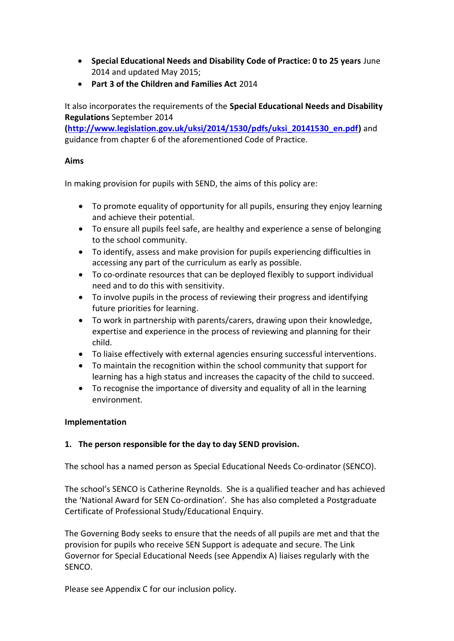- **Special Educational Needs and Disability Code of Practice: 0 to 25 years** June 2014 and updated May 2015;
- **Part 3 of the Children and Families Act** 2014

It also incorporates the requirements of the **Special Educational Needs and Disability Regulations** September 2014

**[\(http://www.legislation.gov.uk/uksi/2014/1530/pdfs/uksi\\_20141530\\_en.pdf\)](http://www.legislation.gov.uk/uksi/2014/1530/pdfs/uksi_20141530_en.pdf)** and guidance from chapter 6 of the aforementioned Code of Practice.

### **Aims**

In making provision for pupils with SEND, the aims of this policy are:

- To promote equality of opportunity for all pupils, ensuring they enjoy learning and achieve their potential.
- To ensure all pupils feel safe, are healthy and experience a sense of belonging to the school community.
- To identify, assess and make provision for pupils experiencing difficulties in accessing any part of the curriculum as early as possible.
- To co-ordinate resources that can be deployed flexibly to support individual need and to do this with sensitivity.
- To involve pupils in the process of reviewing their progress and identifying future priorities for learning.
- To work in partnership with parents/carers, drawing upon their knowledge, expertise and experience in the process of reviewing and planning for their child.
- To liaise effectively with external agencies ensuring successful interventions.
- To maintain the recognition within the school community that support for learning has a high status and increases the capacity of the child to succeed.
- To recognise the importance of diversity and equality of all in the learning environment.

# **Implementation**

# **1. The person responsible for the day to day SEND provision.**

The school has a named person as Special Educational Needs Co-ordinator (SENCO).

The school's SENCO is Catherine Reynolds. She is a qualified teacher and has achieved the 'National Award for SEN Co-ordination'. She has also completed a Postgraduate Certificate of Professional Study/Educational Enquiry.

The Governing Body seeks to ensure that the needs of all pupils are met and that the provision for pupils who receive SEN Support is adequate and secure. The Link Governor for Special Educational Needs (see Appendix A) liaises regularly with the SENCO.

Please see Appendix C for our inclusion policy.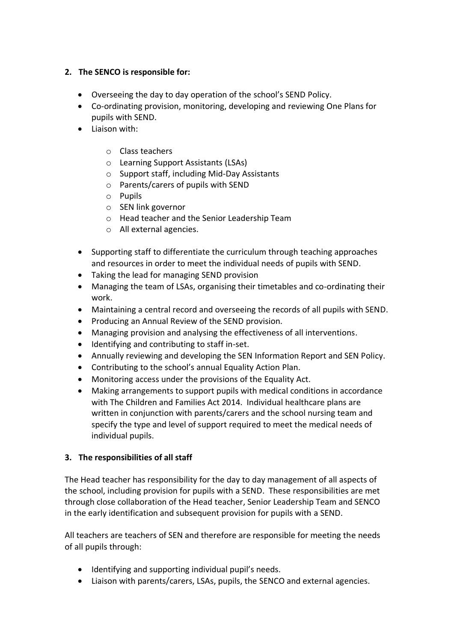# **2. The SENCO is responsible for:**

- Overseeing the day to day operation of the school's SEND Policy.
- Co-ordinating provision, monitoring, developing and reviewing One Plans for pupils with SEND.
- Liaison with:
	- o Class teachers
	- o Learning Support Assistants (LSAs)
	- o Support staff, including Mid-Day Assistants
	- o Parents/carers of pupils with SEND
	- o Pupils
	- o SEN link governor
	- o Head teacher and the Senior Leadership Team
	- o All external agencies.
- Supporting staff to differentiate the curriculum through teaching approaches and resources in order to meet the individual needs of pupils with SEND.
- Taking the lead for managing SEND provision
- Managing the team of LSAs, organising their timetables and co-ordinating their work.
- Maintaining a central record and overseeing the records of all pupils with SEND.
- Producing an Annual Review of the SEND provision.
- Managing provision and analysing the effectiveness of all interventions.
- Identifying and contributing to staff in-set.
- Annually reviewing and developing the SEN Information Report and SEN Policy.
- Contributing to the school's annual Equality Action Plan.
- Monitoring access under the provisions of the Equality Act.
- Making arrangements to support pupils with medical conditions in accordance with The Children and Families Act 2014. Individual healthcare plans are written in conjunction with parents/carers and the school nursing team and specify the type and level of support required to meet the medical needs of individual pupils.

# **3. The responsibilities of all staff**

The Head teacher has responsibility for the day to day management of all aspects of the school, including provision for pupils with a SEND. These responsibilities are met through close collaboration of the Head teacher, Senior Leadership Team and SENCO in the early identification and subsequent provision for pupils with a SEND.

All teachers are teachers of SEN and therefore are responsible for meeting the needs of all pupils through:

- Identifying and supporting individual pupil's needs.
- Liaison with parents/carers, LSAs, pupils, the SENCO and external agencies.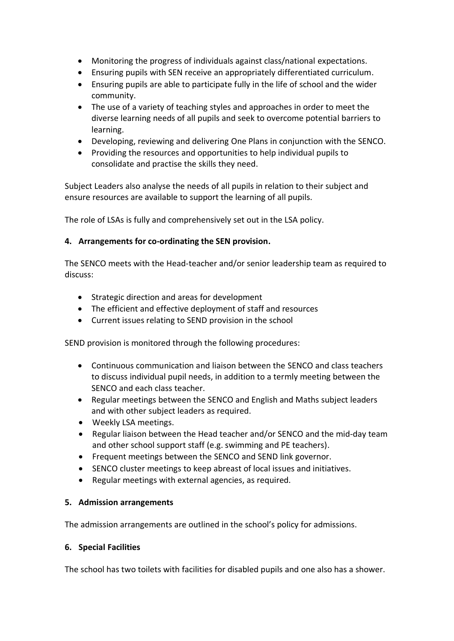- Monitoring the progress of individuals against class/national expectations.
- Ensuring pupils with SEN receive an appropriately differentiated curriculum.
- Ensuring pupils are able to participate fully in the life of school and the wider community.
- The use of a variety of teaching styles and approaches in order to meet the diverse learning needs of all pupils and seek to overcome potential barriers to learning.
- Developing, reviewing and delivering One Plans in conjunction with the SENCO.
- Providing the resources and opportunities to help individual pupils to consolidate and practise the skills they need.

Subject Leaders also analyse the needs of all pupils in relation to their subject and ensure resources are available to support the learning of all pupils.

The role of LSAs is fully and comprehensively set out in the LSA policy.

# **4. Arrangements for co-ordinating the SEN provision.**

The SENCO meets with the Head-teacher and/or senior leadership team as required to discuss:

- Strategic direction and areas for development
- The efficient and effective deployment of staff and resources
- Current issues relating to SEND provision in the school

SEND provision is monitored through the following procedures:

- Continuous communication and liaison between the SENCO and class teachers to discuss individual pupil needs, in addition to a termly meeting between the SENCO and each class teacher.
- Regular meetings between the SENCO and English and Maths subject leaders and with other subject leaders as required.
- Weekly LSA meetings.
- Regular liaison between the Head teacher and/or SENCO and the mid-day team and other school support staff (e.g. swimming and PE teachers).
- Frequent meetings between the SENCO and SEND link governor.
- SENCO cluster meetings to keep abreast of local issues and initiatives.
- Regular meetings with external agencies, as required.

# **5. Admission arrangements**

The admission arrangements are outlined in the school's policy for admissions.

#### **6. Special Facilities**

The school has two toilets with facilities for disabled pupils and one also has a shower.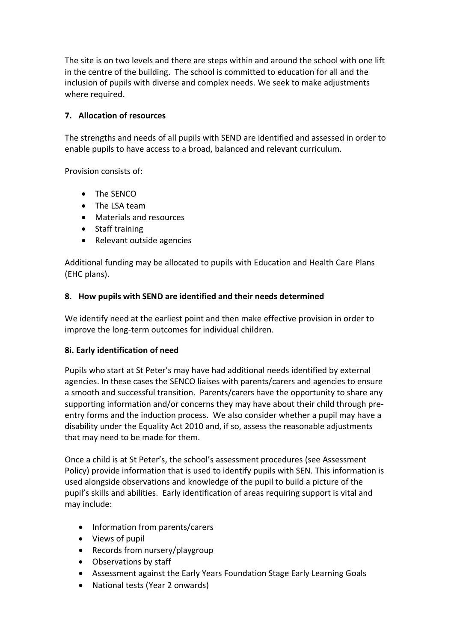The site is on two levels and there are steps within and around the school with one lift in the centre of the building. The school is committed to education for all and the inclusion of pupils with diverse and complex needs. We seek to make adjustments where required.

# **7. Allocation of resources**

The strengths and needs of all pupils with SEND are identified and assessed in order to enable pupils to have access to a broad, balanced and relevant curriculum.

Provision consists of:

- The SENCO
- The LSA team
- Materials and resources
- Staff training
- Relevant outside agencies

Additional funding may be allocated to pupils with Education and Health Care Plans (EHC plans).

# **8. How pupils with SEND are identified and their needs determined**

We identify need at the earliest point and then make effective provision in order to improve the long-term outcomes for individual children.

#### **8i. Early identification of need**

Pupils who start at St Peter's may have had additional needs identified by external agencies. In these cases the SENCO liaises with parents/carers and agencies to ensure a smooth and successful transition. Parents/carers have the opportunity to share any supporting information and/or concerns they may have about their child through preentry forms and the induction process. We also consider whether a pupil may have a disability under the Equality Act 2010 and, if so, assess the reasonable adjustments that may need to be made for them.

Once a child is at St Peter's, the school's assessment procedures (see Assessment Policy) provide information that is used to identify pupils with SEN. This information is used alongside observations and knowledge of the pupil to build a picture of the pupil's skills and abilities. Early identification of areas requiring support is vital and may include:

- Information from parents/carers
- Views of pupil
- Records from nursery/playgroup
- Observations by staff
- Assessment against the Early Years Foundation Stage Early Learning Goals
- National tests (Year 2 onwards)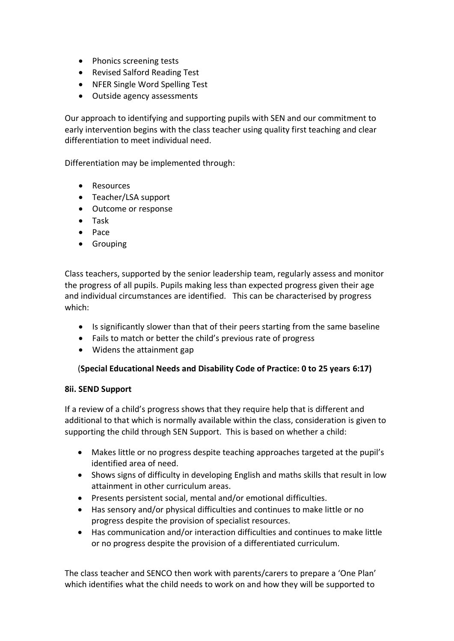- Phonics screening tests
- Revised Salford Reading Test
- NFER Single Word Spelling Test
- Outside agency assessments

Our approach to identifying and supporting pupils with SEN and our commitment to early intervention begins with the class teacher using quality first teaching and clear differentiation to meet individual need.

Differentiation may be implemented through:

- Resources
- Teacher/LSA support
- Outcome or response
- Task
- Pace
- Grouping

Class teachers, supported by the senior leadership team, regularly assess and monitor the progress of all pupils. Pupils making less than expected progress given their age and individual circumstances are identified. This can be characterised by progress which:

- Is significantly slower than that of their peers starting from the same baseline
- Fails to match or better the child's previous rate of progress
- Widens the attainment gap

#### (**Special Educational Needs and Disability Code of Practice: 0 to 25 years 6:17)**

#### **8ii. SEND Support**

If a review of a child's progress shows that they require help that is different and additional to that which is normally available within the class, consideration is given to supporting the child through SEN Support. This is based on whether a child:

- Makes little or no progress despite teaching approaches targeted at the pupil's identified area of need.
- Shows signs of difficulty in developing English and maths skills that result in low attainment in other curriculum areas.
- Presents persistent social, mental and/or emotional difficulties.
- Has sensory and/or physical difficulties and continues to make little or no progress despite the provision of specialist resources.
- Has communication and/or interaction difficulties and continues to make little or no progress despite the provision of a differentiated curriculum.

The class teacher and SENCO then work with parents/carers to prepare a 'One Plan' which identifies what the child needs to work on and how they will be supported to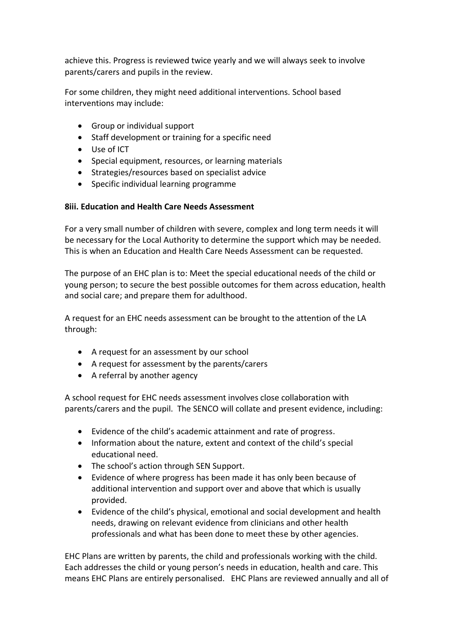achieve this. Progress is reviewed twice yearly and we will always seek to involve parents/carers and pupils in the review.

For some children, they might need additional interventions. School based interventions may include:

- Group or individual support
- Staff development or training for a specific need
- Use of ICT
- Special equipment, resources, or learning materials
- Strategies/resources based on specialist advice
- Specific individual learning programme

#### **8iii. Education and Health Care Needs Assessment**

For a very small number of children with severe, complex and long term needs it will be necessary for the Local Authority to determine the support which may be needed. This is when an Education and Health Care Needs Assessment can be requested.

The purpose of an EHC plan is to: Meet the special educational needs of the child or young person; to secure the best possible outcomes for them across education, health and social care; and prepare them for adulthood.

A request for an EHC needs assessment can be brought to the attention of the LA through:

- A request for an assessment by our school
- A request for assessment by the parents/carers
- A referral by another agency

A school request for EHC needs assessment involves close collaboration with parents/carers and the pupil. The SENCO will collate and present evidence, including:

- Evidence of the child's academic attainment and rate of progress.
- Information about the nature, extent and context of the child's special educational need.
- The school's action through SEN Support.
- Evidence of where progress has been made it has only been because of additional intervention and support over and above that which is usually provided.
- Evidence of the child's physical, emotional and social development and health needs, drawing on relevant evidence from clinicians and other health professionals and what has been done to meet these by other agencies.

EHC Plans are written by parents, the child and professionals working with the child. Each addresses the child or young person's needs in education, health and care. This means EHC Plans are entirely personalised. EHC Plans are reviewed annually and all of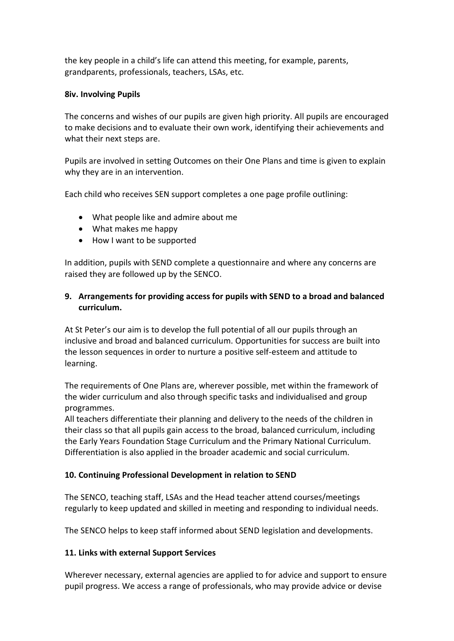the key people in a child's life can attend this meeting, for example, parents, grandparents, professionals, teachers, LSAs, etc.

### **8iv. Involving Pupils**

The concerns and wishes of our pupils are given high priority. All pupils are encouraged to make decisions and to evaluate their own work, identifying their achievements and what their next steps are.

Pupils are involved in setting Outcomes on their One Plans and time is given to explain why they are in an intervention.

Each child who receives SEN support completes a one page profile outlining:

- What people like and admire about me
- What makes me happy
- How I want to be supported

In addition, pupils with SEND complete a questionnaire and where any concerns are raised they are followed up by the SENCO.

# **9. Arrangements for providing access for pupils with SEND to a broad and balanced curriculum.**

At St Peter's our aim is to develop the full potential of all our pupils through an inclusive and broad and balanced curriculum. Opportunities for success are built into the lesson sequences in order to nurture a positive self-esteem and attitude to learning.

The requirements of One Plans are, wherever possible, met within the framework of the wider curriculum and also through specific tasks and individualised and group programmes.

All teachers differentiate their planning and delivery to the needs of the children in their class so that all pupils gain access to the broad, balanced curriculum, including the Early Years Foundation Stage Curriculum and the Primary National Curriculum. Differentiation is also applied in the broader academic and social curriculum.

# **10. Continuing Professional Development in relation to SEND**

The SENCO, teaching staff, LSAs and the Head teacher attend courses/meetings regularly to keep updated and skilled in meeting and responding to individual needs.

The SENCO helps to keep staff informed about SEND legislation and developments.

# **11. Links with external Support Services**

Wherever necessary, external agencies are applied to for advice and support to ensure pupil progress. We access a range of professionals, who may provide advice or devise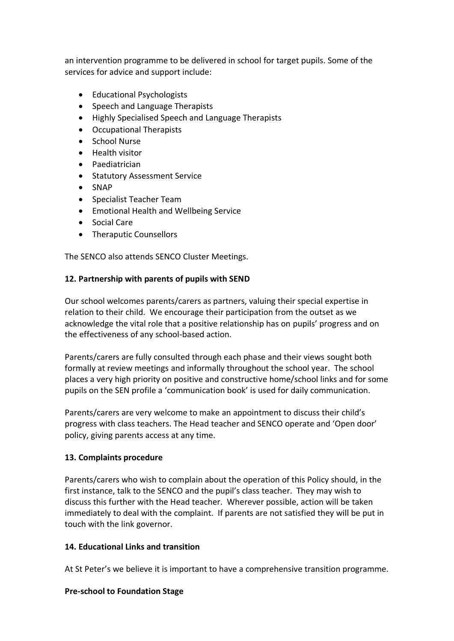an intervention programme to be delivered in school for target pupils. Some of the services for advice and support include:

- Educational Psychologists
- Speech and Language Therapists
- Highly Specialised Speech and Language Therapists
- Occupational Therapists
- School Nurse
- Health visitor
- Paediatrician
- Statutory Assessment Service
- SNAP
- Specialist Teacher Team
- Emotional Health and Wellbeing Service
- Social Care
- Theraputic Counsellors

The SENCO also attends SENCO Cluster Meetings.

#### **12. Partnership with parents of pupils with SEND**

Our school welcomes parents/carers as partners, valuing their special expertise in relation to their child. We encourage their participation from the outset as we acknowledge the vital role that a positive relationship has on pupils' progress and on the effectiveness of any school-based action.

Parents/carers are fully consulted through each phase and their views sought both formally at review meetings and informally throughout the school year. The school places a very high priority on positive and constructive home/school links and for some pupils on the SEN profile a 'communication book' is used for daily communication.

Parents/carers are very welcome to make an appointment to discuss their child's progress with class teachers. The Head teacher and SENCO operate and 'Open door' policy, giving parents access at any time.

#### **13. Complaints procedure**

Parents/carers who wish to complain about the operation of this Policy should, in the first instance, talk to the SENCO and the pupil's class teacher. They may wish to discuss this further with the Head teacher. Wherever possible, action will be taken immediately to deal with the complaint. If parents are not satisfied they will be put in touch with the link governor.

# **14. Educational Links and transition**

At St Peter's we believe it is important to have a comprehensive transition programme.

#### **Pre-school to Foundation Stage**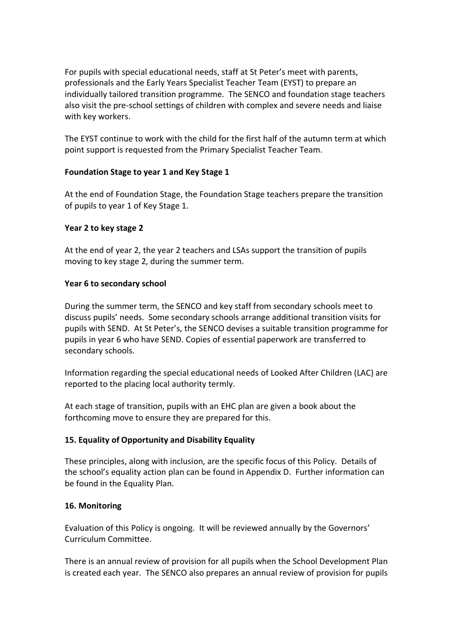For pupils with special educational needs, staff at St Peter's meet with parents, professionals and the Early Years Specialist Teacher Team (EYST) to prepare an individually tailored transition programme. The SENCO and foundation stage teachers also visit the pre-school settings of children with complex and severe needs and liaise with key workers.

The EYST continue to work with the child for the first half of the autumn term at which point support is requested from the Primary Specialist Teacher Team.

# **Foundation Stage to year 1 and Key Stage 1**

At the end of Foundation Stage, the Foundation Stage teachers prepare the transition of pupils to year 1 of Key Stage 1.

#### **Year 2 to key stage 2**

At the end of year 2, the year 2 teachers and LSAs support the transition of pupils moving to key stage 2, during the summer term.

#### **Year 6 to secondary school**

During the summer term, the SENCO and key staff from secondary schools meet to discuss pupils' needs. Some secondary schools arrange additional transition visits for pupils with SEND. At St Peter's, the SENCO devises a suitable transition programme for pupils in year 6 who have SEND. Copies of essential paperwork are transferred to secondary schools.

Information regarding the special educational needs of Looked After Children (LAC) are reported to the placing local authority termly.

At each stage of transition, pupils with an EHC plan are given a book about the forthcoming move to ensure they are prepared for this.

# **15. Equality of Opportunity and Disability Equality**

These principles, along with inclusion, are the specific focus of this Policy. Details of the school's equality action plan can be found in Appendix D. Further information can be found in the Equality Plan.

# **16. Monitoring**

Evaluation of this Policy is ongoing. It will be reviewed annually by the Governors' Curriculum Committee.

There is an annual review of provision for all pupils when the School Development Plan is created each year. The SENCO also prepares an annual review of provision for pupils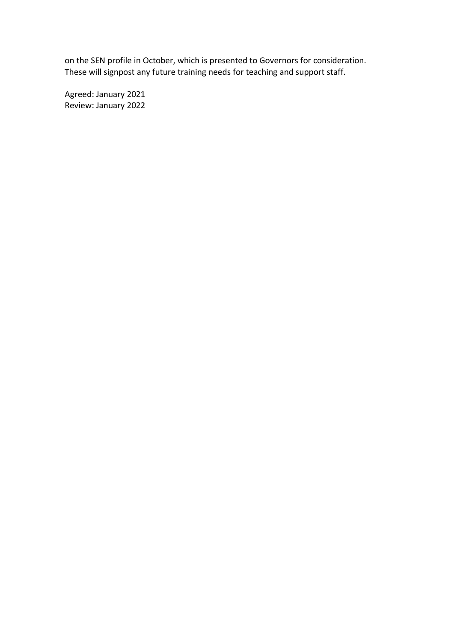on the SEN profile in October, which is presented to Governors for consideration. These will signpost any future training needs for teaching and support staff.

Agreed: January 2021 Review: January 2022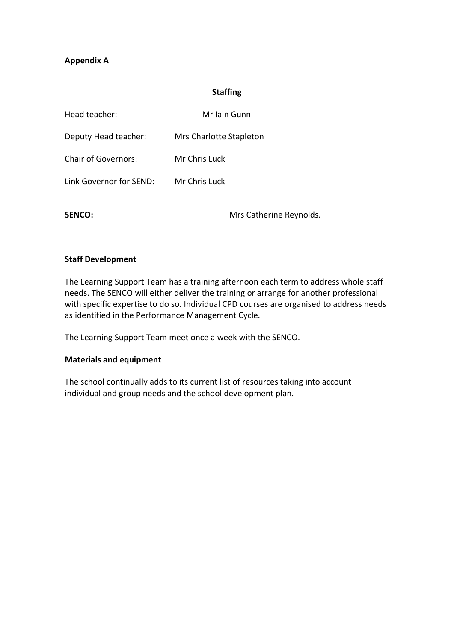### **Appendix A**

#### **Staffing**

| Head teacher:              | Mr Iain Gunn            |
|----------------------------|-------------------------|
| Deputy Head teacher:       | Mrs Charlotte Stapleton |
| <b>Chair of Governors:</b> | Mr Chris Luck           |
| Link Governor for SEND:    | Mr Chris Luck           |

SENCO: Mrs Catherine Reynolds.

#### **Staff Development**

The Learning Support Team has a training afternoon each term to address whole staff needs. The SENCO will either deliver the training or arrange for another professional with specific expertise to do so. Individual CPD courses are organised to address needs as identified in the Performance Management Cycle.

The Learning Support Team meet once a week with the SENCO.

#### **Materials and equipment**

The school continually adds to its current list of resources taking into account individual and group needs and the school development plan.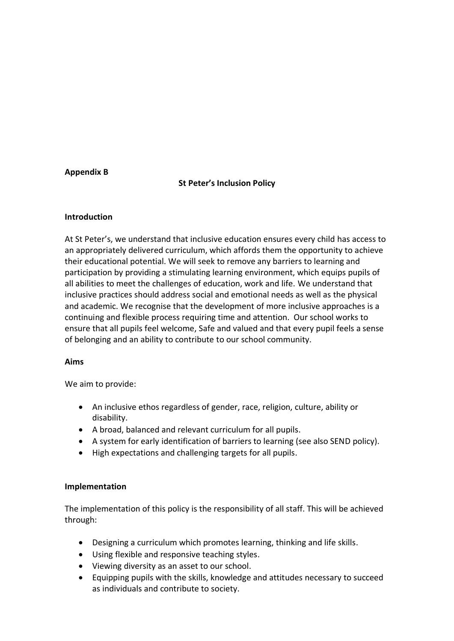#### **Appendix B**

#### **St Peter's Inclusion Policy**

#### **Introduction**

At St Peter's, we understand that inclusive education ensures every child has access to an appropriately delivered curriculum, which affords them the opportunity to achieve their educational potential. We will seek to remove any barriers to learning and participation by providing a stimulating learning environment, which equips pupils of all abilities to meet the challenges of education, work and life. We understand that inclusive practices should address social and emotional needs as well as the physical and academic. We recognise that the development of more inclusive approaches is a continuing and flexible process requiring time and attention. Our school works to ensure that all pupils feel welcome, Safe and valued and that every pupil feels a sense of belonging and an ability to contribute to our school community.

#### **Aims**

We aim to provide:

- An inclusive ethos regardless of gender, race, religion, culture, ability or disability.
- A broad, balanced and relevant curriculum for all pupils.
- A system for early identification of barriers to learning (see also SEND policy).
- High expectations and challenging targets for all pupils.

#### **Implementation**

The implementation of this policy is the responsibility of all staff. This will be achieved through:

- Designing a curriculum which promotes learning, thinking and life skills.
- Using flexible and responsive teaching styles.
- Viewing diversity as an asset to our school.
- Equipping pupils with the skills, knowledge and attitudes necessary to succeed as individuals and contribute to society.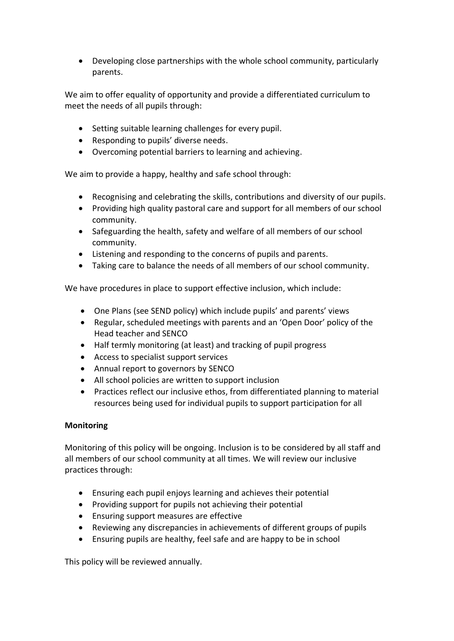• Developing close partnerships with the whole school community, particularly parents.

We aim to offer equality of opportunity and provide a differentiated curriculum to meet the needs of all pupils through:

- Setting suitable learning challenges for every pupil.
- Responding to pupils' diverse needs.
- Overcoming potential barriers to learning and achieving.

We aim to provide a happy, healthy and safe school through:

- Recognising and celebrating the skills, contributions and diversity of our pupils.
- Providing high quality pastoral care and support for all members of our school community.
- Safeguarding the health, safety and welfare of all members of our school community.
- Listening and responding to the concerns of pupils and parents.
- Taking care to balance the needs of all members of our school community.

We have procedures in place to support effective inclusion, which include:

- One Plans (see SEND policy) which include pupils' and parents' views
- Regular, scheduled meetings with parents and an 'Open Door' policy of the Head teacher and SENCO
- Half termly monitoring (at least) and tracking of pupil progress
- Access to specialist support services
- Annual report to governors by SENCO
- All school policies are written to support inclusion
- Practices reflect our inclusive ethos, from differentiated planning to material resources being used for individual pupils to support participation for all

# **Monitoring**

Monitoring of this policy will be ongoing. Inclusion is to be considered by all staff and all members of our school community at all times. We will review our inclusive practices through:

- Ensuring each pupil enjoys learning and achieves their potential
- Providing support for pupils not achieving their potential
- Ensuring support measures are effective
- Reviewing any discrepancies in achievements of different groups of pupils
- Ensuring pupils are healthy, feel safe and are happy to be in school

This policy will be reviewed annually.